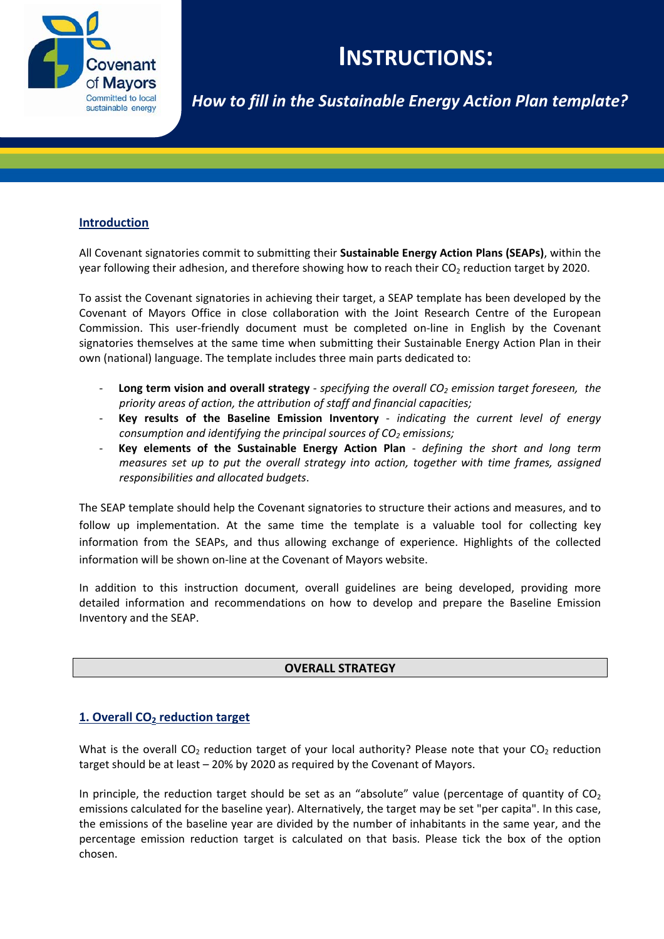

# **INSTRUCTIONS:**

*How to fill in the Sustainable Energy Action Plan template?*

# **Introduction**

All Covenant signatories commit to submitting their **Sustainable Energy Action Plans (SEAPs)**, within the year following their adhesion, and therefore showing how to reach their  $CO<sub>2</sub>$  reduction target by 2020.

To assist the Covenant signatories in achieving their target, a SEAP template has been developed by the Covenant of Mayors Office in close collaboration with the Joint Research Centre of the European Commission. This user‐friendly document must be completed on‐line in English by the Covenant signatories themselves at the same time when submitting their Sustainable Energy Action Plan in their own (national) language. The template includes three main parts dedicated to:

- ‐ **Long term vision and overall strategy** ‐ *specifying the overall CO2 emission target foreseen, the priority areas of action, the attribution of staff and financial capacities;*
- ‐ **Key results of the Baseline Emission Inventory** ‐ *indicating the current level of energy consumption and identifying the principal sources of CO2 emissions;*
- ‐ **Key elements of the Sustainable Energy Action Plan** ‐ *defining the short and long term measures set up to put the overall strategy into action, together with time frames, assigned responsibilities and allocated budgets*.

The SEAP template should help the Covenant signatories to structure their actions and measures, and to follow up implementation. At the same time the template is a valuable tool for collecting key information from the SEAPs, and thus allowing exchange of experience. Highlights of the collected information will be shown on-line at the Covenant of Mayors website.

In addition to this instruction document, overall guidelines are being developed, providing more detailed information and recommendations on how to develop and prepare the Baseline Emission Inventory and the SEAP.

# **OVERALL STRATEGY**

# **1. Overall CO2 reduction target**

What is the overall  $CO_2$  reduction target of your local authority? Please note that your  $CO_2$  reduction target should be at least – 20% by 2020 as required by the Covenant of Mayors.

In principle, the reduction target should be set as an "absolute" value (percentage of quantity of  $CO<sub>2</sub>$ emissions calculated for the baseline year). Alternatively, the target may be set "per capita". In this case, the emissions of the baseline year are divided by the number of inhabitants in the same year, and the percentage emission reduction target is calculated on that basis. Please tick the box of the option chosen.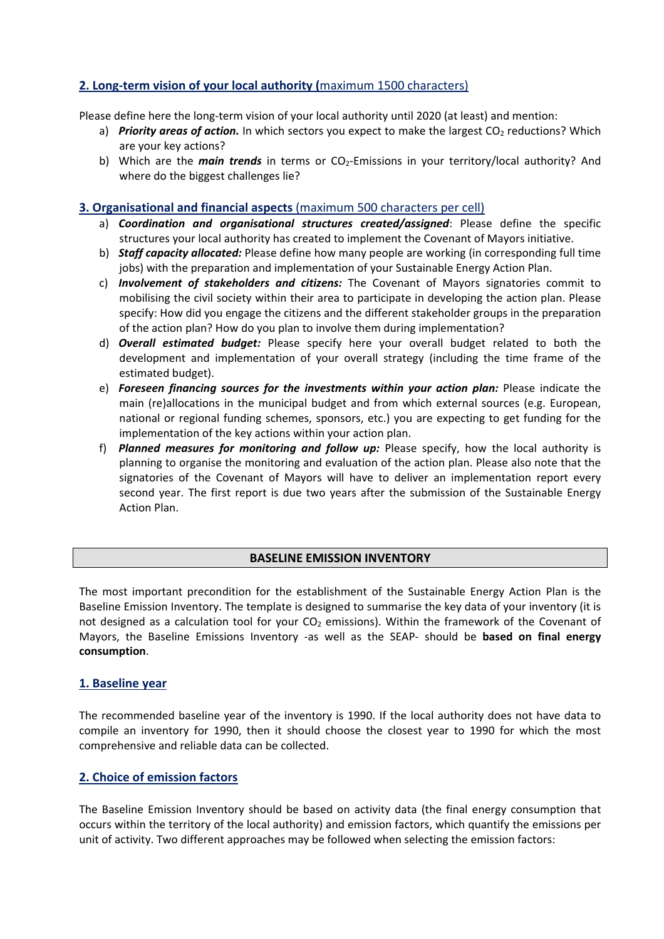# **2. Long‐term vision of your local authority (**maximum 1500 characters)

Please define here the long-term vision of your local authority until 2020 (at least) and mention:

- a) *Priority areas of action.* In which sectors you expect to make the largest CO<sub>2</sub> reductions? Which are your key actions?
- b) Which are the *main trends* in terms or CO<sub>2</sub>-Emissions in your territory/local authority? And where do the biggest challenges lie?

## **3. Organisational and financial aspects** (maximum 500 characters per cell)

- a) *Coordination and organisational structures created/assigned*: Please define the specific structures your local authority has created to implement the Covenant of Mayors initiative.
- b) *Staff capacity allocated:* Please define how many people are working (in corresponding full time jobs) with the preparation and implementation of your Sustainable Energy Action Plan.
- c) *Involvement of stakeholders and citizens:* The Covenant of Mayors signatories commit to mobilising the civil society within their area to participate in developing the action plan. Please specify: How did you engage the citizens and the different stakeholder groups in the preparation of the action plan? How do you plan to involve them during implementation?
- d) *Overall estimated budget:* Please specify here your overall budget related to both the development and implementation of your overall strategy (including the time frame of the estimated budget).
- e) *Foreseen financing sources for the investments within your action plan:* Please indicate the main (re)allocations in the municipal budget and from which external sources (e.g. European, national or regional funding schemes, sponsors, etc.) you are expecting to get funding for the implementation of the key actions within your action plan.
- f) *Planned measures for monitoring and follow up:* Please specify, how the local authority is planning to organise the monitoring and evaluation of the action plan. Please also note that the signatories of the Covenant of Mayors will have to deliver an implementation report every second year. The first report is due two years after the submission of the Sustainable Energy Action Plan.

#### **BASELINE EMISSION INVENTORY**

The most important precondition for the establishment of the Sustainable Energy Action Plan is the Baseline Emission Inventory. The template is designed to summarise the key data of your inventory (it is not designed as a calculation tool for your  $CO<sub>2</sub>$  emissions). Within the framework of the Covenant of Mayors, the Baseline Emissions Inventory ‐as well as the SEAP‐ should be **based on final energy consumption**.

#### **1. Baseline year**

The recommended baseline year of the inventory is 1990. If the local authority does not have data to compile an inventory for 1990, then it should choose the closest year to 1990 for which the most comprehensive and reliable data can be collected.

# **2. Choice of emission factors**

The Baseline Emission Inventory should be based on activity data (the final energy consumption that occurs within the territory of the local authority) and emission factors, which quantify the emissions per unit of activity. Two different approaches may be followed when selecting the emission factors: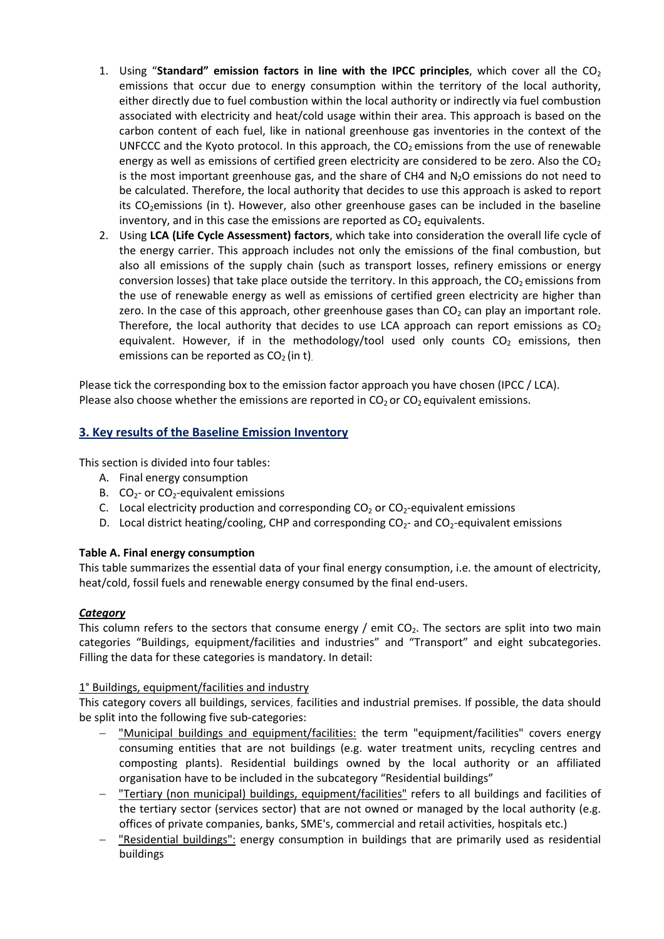- 1. Using "**Standard"** emission factors in line with the IPCC principles, which cover all the CO<sub>2</sub> emissions that occur due to energy consumption within the territory of the local authority, either directly due to fuel combustion within the local authority or indirectly via fuel combustion associated with electricity and heat/cold usage within their area. This approach is based on the carbon content of each fuel, like in national greenhouse gas inventories in the context of the UNFCCC and the Kyoto protocol. In this approach, the  $CO<sub>2</sub>$  emissions from the use of renewable energy as well as emissions of certified green electricity are considered to be zero. Also the  $CO<sub>2</sub>$ is the most important greenhouse gas, and the share of CH4 and  $N_2O$  emissions do not need to be calculated. Therefore, the local authority that decides to use this approach is asked to report its  $CO<sub>2</sub>$ emissions (in t). However, also other greenhouse gases can be included in the baseline inventory, and in this case the emissions are reported as  $CO<sub>2</sub>$  equivalents.
- 2. Using **LCA (Life Cycle Assessment) factors**, which take into consideration the overall life cycle of the energy carrier. This approach includes not only the emissions of the final combustion, but also all emissions of the supply chain (such as transport losses, refinery emissions or energy conversion losses) that take place outside the territory. In this approach, the  $CO<sub>2</sub>$  emissions from the use of renewable energy as well as emissions of certified green electricity are higher than zero. In the case of this approach, other greenhouse gases than  $CO<sub>2</sub>$  can play an important role. Therefore, the local authority that decides to use LCA approach can report emissions as  $CO<sub>2</sub>$ equivalent. However, if in the methodology/tool used only counts  $CO<sub>2</sub>$  emissions, then emissions can be reported as  $CO<sub>2</sub>$  (in t).

Please tick the corresponding box to the emission factor approach you have chosen (IPCC / LCA). Please also choose whether the emissions are reported in  $CO<sub>2</sub>$  or  $CO<sub>2</sub>$  equivalent emissions.

# **3. Key results of the Baseline Emission Inventory**

This section is divided into four tables:

- A. Final energy consumption
- B.  $CO<sub>2</sub>$  or  $CO<sub>2</sub>$ -equivalent emissions
- C. Local electricity production and corresponding  $CO<sub>2</sub>$  or  $CO<sub>2</sub>$ -equivalent emissions
- D. Local district heating/cooling, CHP and corresponding  $CO<sub>2</sub>$  and  $CO<sub>2</sub>$ -equivalent emissions

#### **Table A. Final energy consumption**

This table summarizes the essential data of your final energy consumption, i.e. the amount of electricity, heat/cold, fossil fuels and renewable energy consumed by the final end‐users.

#### *Category*

This column refers to the sectors that consume energy / emit  $CO<sub>2</sub>$ . The sectors are split into two main categories "Buildings, equipment/facilities and industries" and "Transport" and eight subcategories. Filling the data for these categories is mandatory. In detail:

#### 1° Buildings, equipment/facilities and industry

This category covers all buildings, services, facilities and industrial premises. If possible, the data should be split into the following five sub-categories:

- "Municipal buildings and equipment/facilities: the term "equipment/facilities" covers energy consuming entities that are not buildings (e.g. water treatment units, recycling centres and composting plants). Residential buildings owned by the local authority or an affiliated organisation have to be included in the subcategory "Residential buildings"
- "Tertiary (non municipal) buildings, equipment/facilities" refers to all buildings and facilities of the tertiary sector (services sector) that are not owned or managed by the local authority (e.g. offices of private companies, banks, SME's, commercial and retail activities, hospitals etc.)
- "Residential buildings": energy consumption in buildings that are primarily used as residential buildings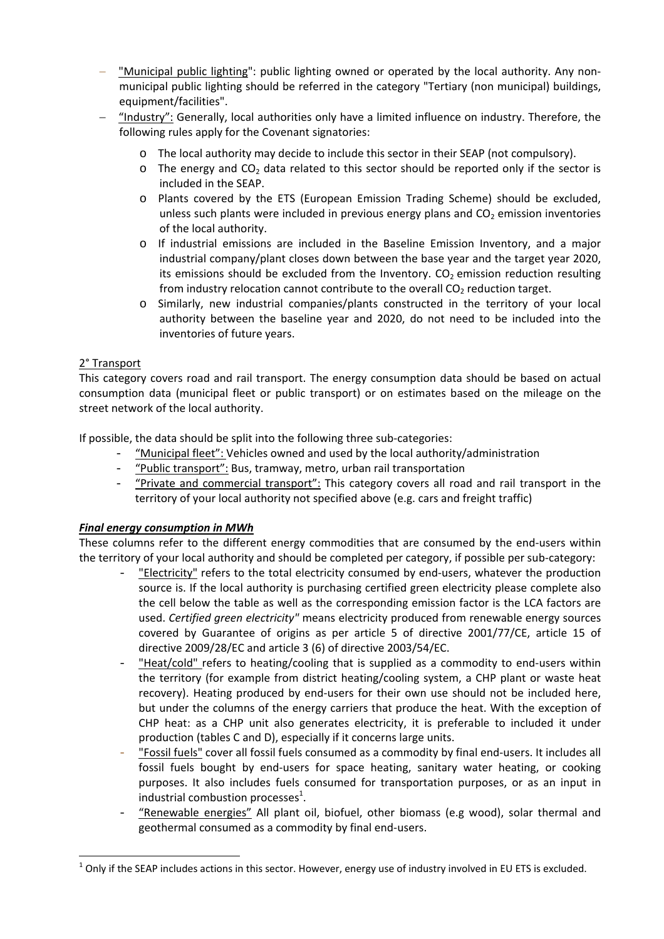- "Municipal public lighting": public lighting owned or operated by the local authority. Any non‐ municipal public lighting should be referred in the category "Tertiary (non municipal) buildings, equipment/facilities".
- "Industry": Generally, local authorities only have a limited influence on industry. Therefore, the following rules apply for the Covenant signatories:
	- o The local authority may decide to include this sector in their SEAP (not compulsory).
	- $\circ$  The energy and CO<sub>2</sub> data related to this sector should be reported only if the sector is included in the SEAP.
	- o Plants covered by the ETS (European Emission Trading Scheme) should be excluded, unless such plants were included in previous energy plans and  $CO<sub>2</sub>$  emission inventories of the local authority.
	- o If industrial emissions are included in the Baseline Emission Inventory, and a major industrial company/plant closes down between the base year and the target year 2020, its emissions should be excluded from the Inventory.  $CO<sub>2</sub>$  emission reduction resulting from industry relocation cannot contribute to the overall  $CO<sub>2</sub>$  reduction target.
	- o Similarly, new industrial companies/plants constructed in the territory of your local authority between the baseline year and 2020, do not need to be included into the inventories of future years.

# 2° Transport

This category covers road and rail transport. The energy consumption data should be based on actual consumption data (municipal fleet or public transport) or on estimates based on the mileage on the street network of the local authority.

If possible, the data should be split into the following three sub‐categories:

- "Municipal fleet": Vehicles owned and used by the local authority/administration
- "Public transport": Bus, tramway, metro, urban rail transportation
- "Private and commercial transport": This category covers all road and rail transport in the territory of your local authority not specified above (e.g. cars and freight traffic)

# *Final energy consumption in MWh*

These columns refer to the different energy commodities that are consumed by the end-users within the territory of your local authority and should be completed per category, if possible per sub‐category:

- "Electricity" refers to the total electricity consumed by end-users, whatever the production source is. If the local authority is purchasing certified green electricity please complete also the cell below the table as well as the corresponding emission factor is the LCA factors are used. *Certified green electricity"* means electricity produced from renewable energy sources covered by Guarantee of origins as per article 5 of directive 2001/77/CE, article 15 of directive 2009/28/EC and article 3 (6) of directive 2003/54/EC.
- "Heat/cold" refers to heating/cooling that is supplied as a commodity to end-users within the territory (for example from district heating/cooling system, a CHP plant or waste heat recovery). Heating produced by end-users for their own use should not be included here, but under the columns of the energy carriers that produce the heat. With the exception of CHP heat: as a CHP unit also generates electricity, it is preferable to included it under production (tables C and D), especially if it concerns large units.
- "Fossil fuels" cover all fossil fuels consumed as a commodity by final end-users. It includes all fossil fuels bought by end-users for space heating, sanitary water heating, or cooking purposes. It also includes fuels consumed for transportation purposes, or as an input in industrial combustion processes $^1$ .
- "Renewable energies" All plant oil, biofuel, other biomass (e.g wood), solar thermal and geothermal consumed as a commodity by final end‐users.

 $1$  Only if the SEAP includes actions in this sector. However, energy use of industry involved in EU ETS is excluded.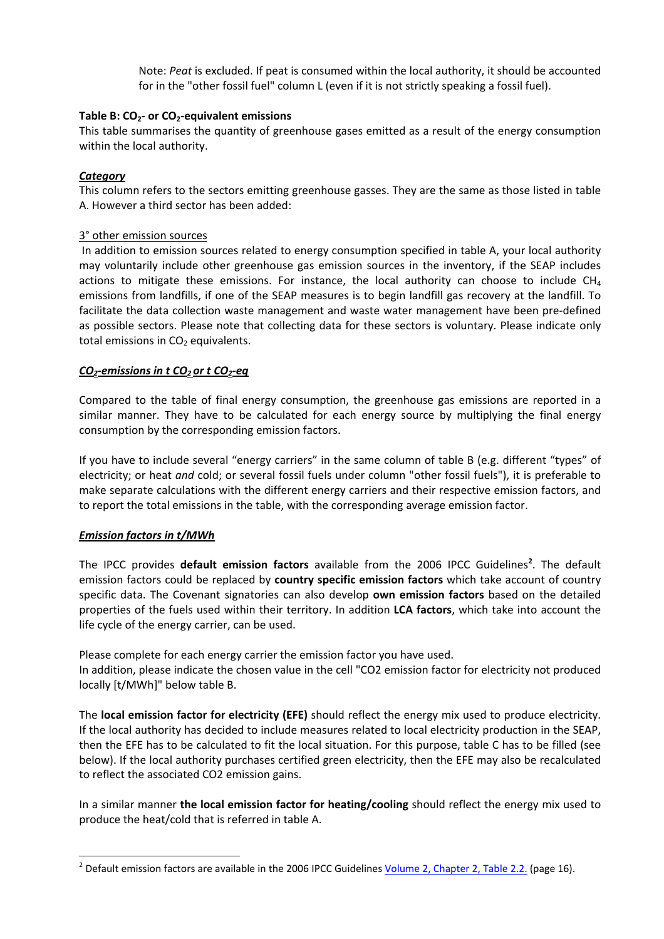Note: *Peat* is excluded. If peat is consumed within the local authority, it should be accounted for in the "other fossil fuel" column L (even if it is not strictly speaking a fossil fuel).

#### **Table B: CO2‐ or CO2‐equivalent emissions**

This table summarises the quantity of greenhouse gases emitted as a result of the energy consumption within the local authority.

## *Category*

This column refers to the sectors emitting greenhouse gasses. They are the same as those listed in table A. However a third sector has been added:

## 3° other emission sources

In addition to emission sources related to energy consumption specified in table A, your local authority may voluntarily include other greenhouse gas emission sources in the inventory, if the SEAP includes actions to mitigate these emissions. For instance, the local authority can choose to include  $CH<sub>4</sub>$ emissions from landfills, if one of the SEAP measures is to begin landfill gas recovery at the landfill. To facilitate the data collection waste management and waste water management have been pre‐defined as possible sectors. Please note that collecting data for these sectors is voluntary. Please indicate only total emissions in  $CO<sub>2</sub>$  equivalents.

## *CO2‐emissions in t CO2 or t CO2‐eq*

Compared to the table of final energy consumption, the greenhouse gas emissions are reported in a similar manner. They have to be calculated for each energy source by multiplying the final energy consumption by the corresponding emission factors.

If you have to include several "energy carriers" in the same column of table B (e.g. different "types" of electricity; or heat *and* cold; or several fossil fuels under column "other fossil fuels"), it is preferable to make separate calculations with the different energy carriers and their respective emission factors, and to report the total emissions in the table, with the corresponding average emission factor.

# *Emission factors in t/MWh*

The IPCC provides **default emission factors** available from the 2006 IPCC Guidelines<sup>2</sup>. The default emission factors could be replaced by **country specific emission factors** which take account of country specific data. The Covenant signatories can also develop **own emission factors** based on the detailed properties of the fuels used within their territory. In addition **LCA factors**, which take into account the life cycle of the energy carrier, can be used.

Please complete for each energy carrier the emission factor you have used. In addition, please indicate the chosen value in the cell "CO2 emission factor for electricity not produced locally [t/MWh]" below table B.

The **local emission factor for electricity (EFE)** should reflect the energy mix used to produce electricity. If the local authority has decided to include measures related to local electricity production in the SEAP, then the EFE has to be calculated to fit the local situation. For this purpose, table C has to be filled (see below). If the local authority purchases certified green electricity, then the EFE may also be recalculated to reflect the associated CO2 emission gains.

In a similar manner **the local emission factor for heating/cooling** should reflect the energy mix used to produce the heat/cold that is referred in table A.

 $2$  Default emission factors are available in the 2006 IPCC Guidelines  $Volume$  2, Chapter 2, Table 2.2.</u> (page 16).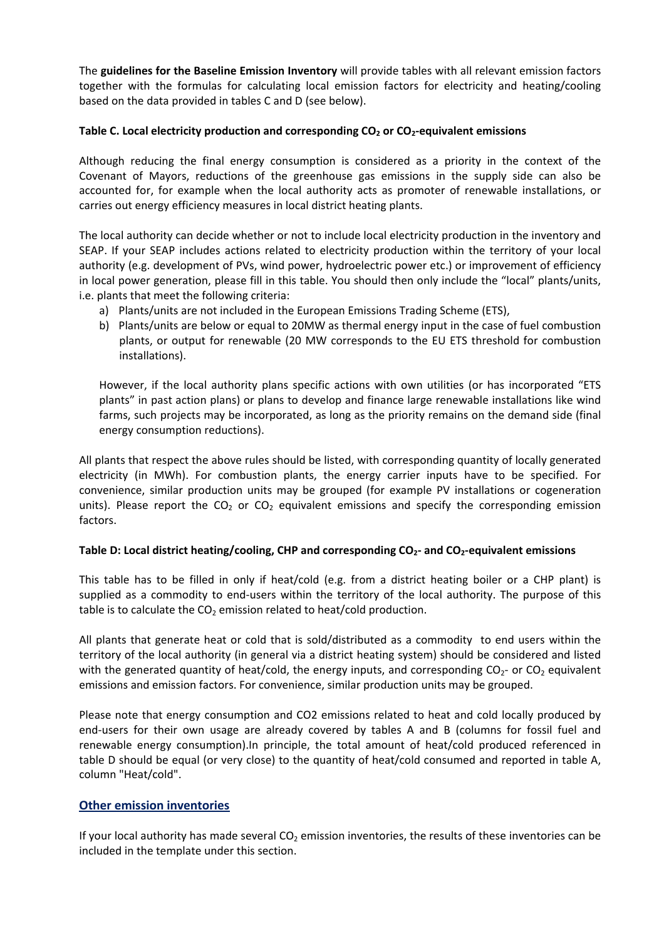The **guidelines for the Baseline Emission Inventory** will provide tables with all relevant emission factors together with the formulas for calculating local emission factors for electricity and heating/cooling based on the data provided in tables C and D (see below).

## **Table C. Local electricity production and corresponding CO2 or CO2‐equivalent emissions**

Although reducing the final energy consumption is considered as a priority in the context of the Covenant of Mayors, reductions of the greenhouse gas emissions in the supply side can also be accounted for, for example when the local authority acts as promoter of renewable installations, or carries out energy efficiency measures in local district heating plants.

The local authority can decide whether or not to include local electricity production in the inventory and SEAP. If your SEAP includes actions related to electricity production within the territory of your local authority (e.g. development of PVs, wind power, hydroelectric power etc.) or improvement of efficiency in local power generation, please fill in this table. You should then only include the "local" plants/units, i.e. plants that meet the following criteria:

- a) Plants/units are not included in the European Emissions Trading Scheme (ETS),
- b) Plants/units are below or equal to 20MW as thermal energy input in the case of fuel combustion plants, or output for renewable (20 MW corresponds to the EU ETS threshold for combustion installations).

However, if the local authority plans specific actions with own utilities (or has incorporated "ETS plants" in past action plans) or plans to develop and finance large renewable installations like wind farms, such projects may be incorporated, as long as the priority remains on the demand side (final energy consumption reductions).

All plants that respect the above rules should be listed, with corresponding quantity of locally generated electricity (in MWh). For combustion plants, the energy carrier inputs have to be specified. For convenience, similar production units may be grouped (for example PV installations or cogeneration units). Please report the  $CO<sub>2</sub>$  or  $CO<sub>2</sub>$  equivalent emissions and specify the corresponding emission factors.

#### **Table D: Local district heating/cooling, CHP and corresponding CO2‐ and CO2‐equivalent emissions**

This table has to be filled in only if heat/cold (e.g. from a district heating boiler or a CHP plant) is supplied as a commodity to end-users within the territory of the local authority. The purpose of this table is to calculate the  $CO<sub>2</sub>$  emission related to heat/cold production.

All plants that generate heat or cold that is sold/distributed as a commodity to end users within the territory of the local authority (in general via a district heating system) should be considered and listed with the generated quantity of heat/cold, the energy inputs, and corresponding  $CO<sub>2</sub>$ - or  $CO<sub>2</sub>$  equivalent emissions and emission factors. For convenience, similar production units may be grouped.

Please note that energy consumption and CO2 emissions related to heat and cold locally produced by end-users for their own usage are already covered by tables A and B (columns for fossil fuel and renewable energy consumption).In principle, the total amount of heat/cold produced referenced in table D should be equal (or very close) to the quantity of heat/cold consumed and reported in table A, column "Heat/cold".

# **Other emission inventories**

If your local authority has made several  $CO<sub>2</sub>$  emission inventories, the results of these inventories can be included in the template under this section.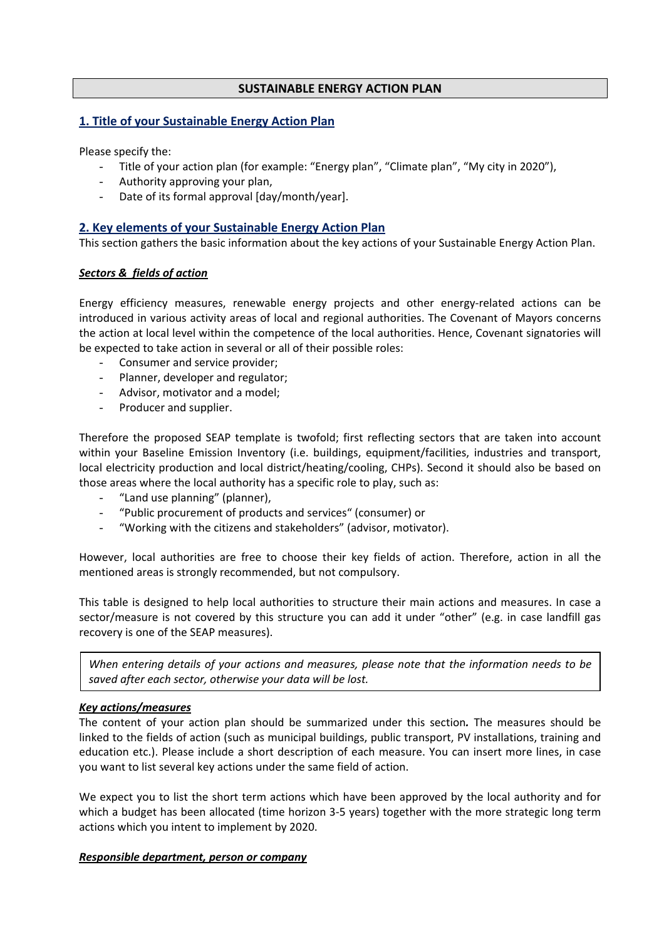## **SUSTAINABLE ENERGY ACTION PLAN**

## **1. Title of your Sustainable Energy Action Plan**

Please specify the:

- Title of your action plan (for example: "Energy plan", "Climate plan", "My city in 2020"),
- Authority approving your plan,
- Date of its formal approval [day/month/year].

## **2. Key elements of your Sustainable Energy Action Plan**

This section gathers the basic information about the key actions of your Sustainable Energy Action Plan.

#### *Sectors & fields of action*

Energy efficiency measures, renewable energy projects and other energy‐related actions can be introduced in various activity areas of local and regional authorities. The Covenant of Mayors concerns the action at local level within the competence of the local authorities. Hence, Covenant signatories will be expected to take action in several or all of their possible roles:

- Consumer and service provider;
- Planner, developer and regulator;
- Advisor, motivator and a model;
- Producer and supplier.

Therefore the proposed SEAP template is twofold; first reflecting sectors that are taken into account within your Baseline Emission Inventory (i.e. buildings, equipment/facilities, industries and transport, local electricity production and local district/heating/cooling, CHPs). Second it should also be based on those areas where the local authority has a specific role to play, such as:

- "Land use planning" (planner),
- "Public procurement of products and services" (consumer) or
- "Working with the citizens and stakeholders" (advisor, motivator).

However, local authorities are free to choose their key fields of action. Therefore, action in all the mentioned areas is strongly recommended, but not compulsory.

This table is designed to help local authorities to structure their main actions and measures. In case a sector/measure is not covered by this structure you can add it under "other" (e.g. in case landfill gas recovery is one of the SEAP measures).

*When entering details of your actions and measures, please note that the information needs to be saved after each sector, otherwise your data will be lost.*

#### *Key actions/measures*

The content of your action plan should be summarized under this section*.* The measures should be linked to the fields of action (such as municipal buildings, public transport, PV installations, training and education etc.). Please include a short description of each measure. You can insert more lines, in case you want to list several key actions under the same field of action.

We expect you to list the short term actions which have been approved by the local authority and for which a budget has been allocated (time horizon 3‐5 years) together with the more strategic long term actions which you intent to implement by 2020.

#### *Responsible department, person or company*